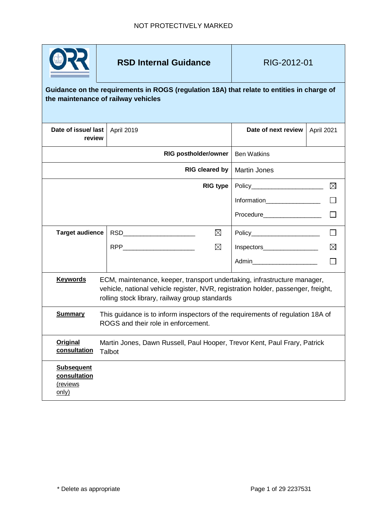

**RSD Internal Guidance** | RIG-2012-01

## **Guidance on the requirements in ROGS (regulation 18A) that relate to entities in charge of the maintenance of railway vehicles**

| Date of issue/ last<br>review                          |                                                                                                                                                                                                                 | April 2019                  |                 | Date of next review             | April 2021  |
|--------------------------------------------------------|-----------------------------------------------------------------------------------------------------------------------------------------------------------------------------------------------------------------|-----------------------------|-----------------|---------------------------------|-------------|
|                                                        |                                                                                                                                                                                                                 | <b>RIG postholder/owner</b> |                 | <b>Ben Watkins</b>              |             |
|                                                        |                                                                                                                                                                                                                 | <b>RIG cleared by</b>       | Martin Jones    |                                 |             |
|                                                        |                                                                                                                                                                                                                 |                             | <b>RIG type</b> | Policy_________________________ | $\boxtimes$ |
|                                                        |                                                                                                                                                                                                                 |                             |                 | Information____________________ |             |
|                                                        |                                                                                                                                                                                                                 |                             |                 | Procedure____________________   |             |
| <b>Target audience</b>                                 |                                                                                                                                                                                                                 | RSD <b>RSD Example 10</b>   | $\boxtimes$     |                                 |             |
|                                                        |                                                                                                                                                                                                                 | RPP __________________      | $\boxtimes$     | Inspectors____________________  | ⊠           |
|                                                        |                                                                                                                                                                                                                 |                             |                 | Admin <b>Administration</b>     |             |
| <b>Keywords</b>                                        | ECM, maintenance, keeper, transport undertaking, infrastructure manager,<br>vehicle, national vehicle register, NVR, registration holder, passenger, freight,<br>rolling stock library, railway group standards |                             |                 |                                 |             |
| <b>Summary</b>                                         | This guidance is to inform inspectors of the requirements of regulation 18A of<br>ROGS and their role in enforcement.                                                                                           |                             |                 |                                 |             |
| <b>Original</b><br>consultation                        | Martin Jones, Dawn Russell, Paul Hooper, Trevor Kent, Paul Frary, Patrick<br>Talbot                                                                                                                             |                             |                 |                                 |             |
| <b>Subsequent</b><br>consultation<br>(reviews<br>only) |                                                                                                                                                                                                                 |                             |                 |                                 |             |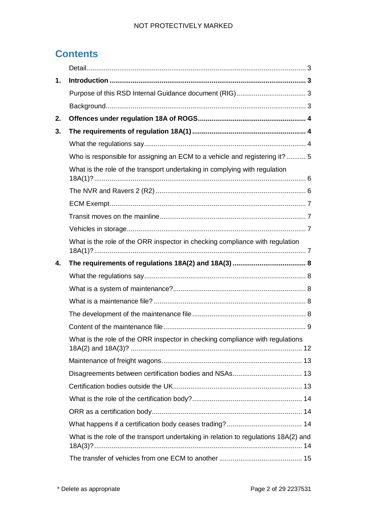## NOT PROTECTIVELY MARKED

## **Contents**

| 1. |                                                                                                                                      |
|----|--------------------------------------------------------------------------------------------------------------------------------------|
|    |                                                                                                                                      |
|    |                                                                                                                                      |
| 2. |                                                                                                                                      |
| 3. |                                                                                                                                      |
|    |                                                                                                                                      |
|    | Who is responsible for assigning an ECM to a vehicle and registering it?  5                                                          |
|    | What is the role of the transport undertaking in complying with regulation                                                           |
|    |                                                                                                                                      |
|    |                                                                                                                                      |
|    |                                                                                                                                      |
|    |                                                                                                                                      |
|    | What is the role of the ORR inspector in checking compliance with regulation                                                         |
| 4. |                                                                                                                                      |
|    |                                                                                                                                      |
|    |                                                                                                                                      |
|    |                                                                                                                                      |
|    |                                                                                                                                      |
|    |                                                                                                                                      |
|    | What is the role of the ORR inspector in checking compliance with regulations<br>18A(2) and 18A(3)? …………………………………………………………………………… 12 |
|    |                                                                                                                                      |
|    |                                                                                                                                      |
|    |                                                                                                                                      |
|    |                                                                                                                                      |
|    |                                                                                                                                      |
|    |                                                                                                                                      |
|    | What is the role of the transport undertaking in relation to regulations 18A(2) and                                                  |
|    |                                                                                                                                      |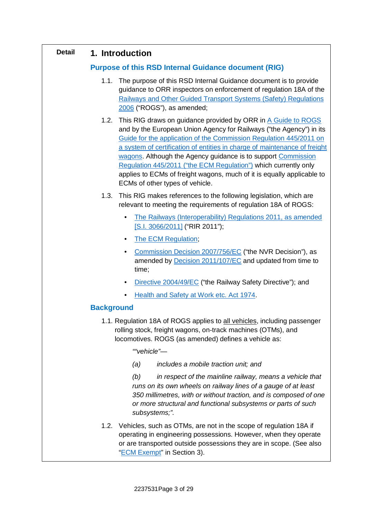## <span id="page-2-0"></span>**Detail 1. Introduction**

## <span id="page-2-2"></span><span id="page-2-1"></span>**Purpose of this RSD Internal Guidance document (RIG)**

- 1.1. The purpose of this RSD Internal Guidance document is to provide guidance to ORR inspectors on enforcement of regulation 18A of the [Railways and Other Guided Transport Systems \(Safety\) Regulations](http://www.legislation.gov.uk/uksi/2006/599/contents/)  [2006](http://www.legislation.gov.uk/uksi/2006/599/contents/) ("ROGS"), as amended;
- 1.2. This RIG draws on guidance provided by ORR in [A Guide to ROGS](http://orr.gov.uk/__data/assets/pdf_file/0020/2567/rogs-guidance.pdf) and by the European Union Agency for Railways ("the Agency") in its [Guide for the application of the Commission Regulation 445/2011 on](https://www.era.europa.eu/sites/default/files/activities/docs/ecm_guide_era_gui_100_en.pdf)  [a system of certification of entities in charge of maintenance of freight](https://www.era.europa.eu/sites/default/files/activities/docs/ecm_guide_era_gui_100_en.pdf)  [wagons.](https://www.era.europa.eu/sites/default/files/activities/docs/ecm_guide_era_gui_100_en.pdf) Although the Agency guidance is to support [Commission](https://eur-lex.europa.eu/legal-content/EN/TXT/?qid=1521482708586&uri=CELEX:32011R0445)  [Regulation 445/2011 \("the ECM Regulation"\)](https://eur-lex.europa.eu/legal-content/EN/TXT/?qid=1521482708586&uri=CELEX:32011R0445) which currently only applies to ECMs of freight wagons, much of it is equally applicable to ECMs of other types of vehicle.
- 1.3. This RIG makes references to the following legislation, which are relevant to meeting the requirements of regulation 18A of ROGS:
	- [The Railways \(Interoperability\) Regulations 2011, as amended](https://www.legislation.gov.uk/uksi/2011/3066/contents) [\[S.I. 3066/2011\]](https://www.legislation.gov.uk/uksi/2011/3066/contents) ("RIR 2011");
	- [The ECM Regulation;](https://eur-lex.europa.eu/legal-content/EN/TXT/?qid=1521482708586&uri=CELEX:32011R0445)
	- [Commission Decision 2007/756/EC](https://eur-lex.europa.eu/legal-content/EN/ALL/?uri=celex:32007D0756) ("the NVR Decision"), as amended by **Decision 2011/107/EC** and updated from time to time;
	- [Directive 2004/49/EC](https://eur-lex.europa.eu/legal-content/EN/ALL/?uri=celex%3A32004L0049) ("the Railway Safety Directive"); and
	- [Health and Safety at Work etc. Act 1974.](https://www.legislation.gov.uk/ukpga/1974/37)

## <span id="page-2-3"></span>**Background**

1.1. Regulation 18A of ROGS applies to all vehicles, including passenger rolling stock, freight wagons, on-track machines (OTMs), and locomotives. ROGS (as amended) defines a vehicle as:

*""vehicle"—* 

*(a) includes a mobile traction unit; and*

*(b) in respect of the mainline railway, means a vehicle that runs on its own wheels on railway lines of a gauge of at least 350 millimetres, with or without traction, and is composed of one or more structural and functional subsystems or parts of such subsystems;".*

1.2. Vehicles, such as OTMs, are not in the scope of regulation 18A if operating in engineering possessions. However, when they operate or are transported outside possessions they are in scope. (See also ["ECM Exempt"](#page-6-0) in Section 3).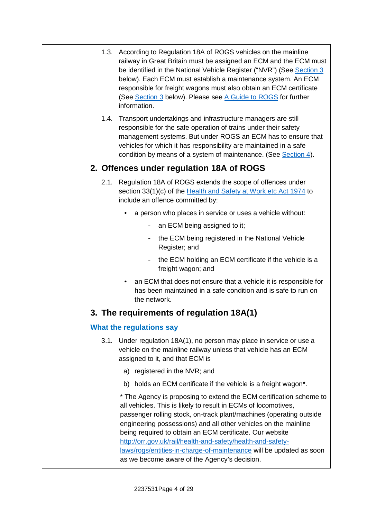- 1.3. According to Regulation 18A of ROGS vehicles on the mainline railway in Great Britain must be assigned an ECM and the ECM must be identified in the National Vehicle Register ("NVR") (See <u>Section 3</u> below). Each ECM must establish a maintenance system. An ECM responsible for freight wagons must also obtain an ECM certificate (See **[Section 3](#page-3-1)** below). Please see [A Guide to ROGS](http://orr.gov.uk/__data/assets/pdf_file/0020/2567/rogs-guidance.pdf) for further information.
- 1.4. Transport undertakings and infrastructure managers are still responsible for the safe operation of trains under their safety management systems. But under ROGS an ECM has to ensure that vehicles for which it has responsibility are maintained in a safe condition by means of a system of maintenance. (See **Section 4)**.

## <span id="page-3-0"></span>**2. Offences under regulation 18A of ROGS**

- 2.1. Regulation 18A of ROGS extends the scope of offences under section 33(1)(c) of the <u>Health and Safety at Work etc Act 1974</u> to include an offence committed by:
	- a person who places in service or uses a vehicle without:
		- an ECM being assigned to it;
		- the ECM being registered in the National Vehicle Register; and
		- the ECM holding an ECM certificate if the vehicle is a freight wagon; and
	- an ECM that does not ensure that a vehicle it is responsible for has been maintained in a safe condition and is safe to run on the network.

## <span id="page-3-1"></span>**3. The requirements of regulation 18A(1)**

## <span id="page-3-2"></span>**What the regulations say**

- 3.1. Under regulation 18A(1), no person may place in service or use a vehicle on the mainline railway unless that vehicle has an ECM assigned to it, and that ECM is
	- a) registered in the NVR; and
	- b) holds an ECM certificate if the vehicle is a freight wagon\*.

\* The Agency is proposing to extend the ECM certification scheme to all vehicles. This is likely to result in ECMs of locomotives, passenger rolling stock, on-track plant/machines (operating outside engineering possessions) and all other vehicles on the mainline being required to obtain an ECM certificate. Our website [http://orr.gov.uk/rail/health-and-safety/health-and-safety](http://orr.gov.uk/rail/health-and-safety/health-and-safety-laws/rogs/entities-in-charge-of-maintenance)la[ws/rogs/entities-in-charge-of-maintenance](http://orr.gov.uk/rail/health-and-safety/health-and-safety-laws/rogs/entities-in-charge-of-maintenance) will be updated as soon as we become aware of the Agency's decision.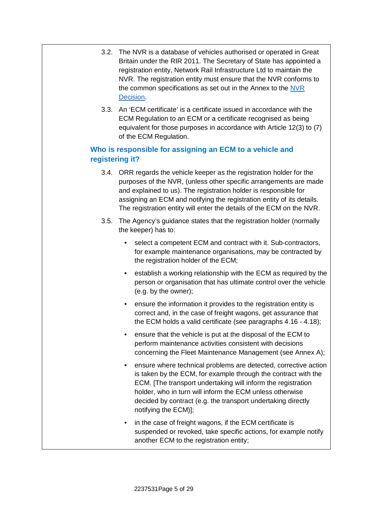- 3.2. The NVR is a database of vehicles authorised or operated in Great Britain under the RIR 2011. The Secretary of State has appointed a registration entity, Network Rail Infrastructure Ltd to maintain the NVR. The registration entity must ensure that the NVR conforms to the common specifications as set out in the Annex to the [NVR](https://eur-lex.europa.eu/legal-content/EN/ALL/?uri=celex:32007D0756)  [Decision.](https://eur-lex.europa.eu/legal-content/EN/ALL/?uri=celex:32007D0756)
- 3.3. An 'ECM certificate' is a certificate issued in accordance with the ECM Regulation to an ECM or a certificate recognised as being equivalent for those purposes in accordance with Article 12(3) to (7) of the ECM Regulation.

## <span id="page-4-0"></span>**Who is responsible for assigning an ECM to a vehicle and registering it?**

- 3.4. ORR regards the vehicle keeper as the registration holder for the purposes of the NVR, (unless other specific arrangements are made and explained to us). The registration holder is responsible for assigning an ECM and notifying the registration entity of its details. The registration entity will enter the details of the ECM on the NVR.
- 3.5. The Agency's guidance states that the registration holder (normally the keeper) has to:
	- select a competent ECM and contract with it. Sub-contractors, for example maintenance organisations, may be contracted by the registration holder of the ECM;
	- establish a working relationship with the ECM as required by the person or organisation that has ultimate control over the vehicle (e.g. by the owner);
	- ensure the information it provides to the registration entity is correct and, in the case of freight wagons, get assurance that the ECM holds a valid certificate (see paragraphs 4.16 - 4.18);
	- ensure that the vehicle is put at the disposal of the ECM to perform maintenance activities consistent with decisions concerning the Fleet Maintenance Management (see Annex A);
	- ensure where technical problems are detected, corrective action is taken by the ECM, for example through the contract with the ECM. [The transport undertaking will inform the registration holder, who in turn will inform the ECM unless otherwise decided by contract (e.g. the transport undertaking directly notifying the ECM)];
	- in the case of freight wagons, if the ECM certificate is suspended or revoked, take specific actions, for example notify another ECM to the registration entity;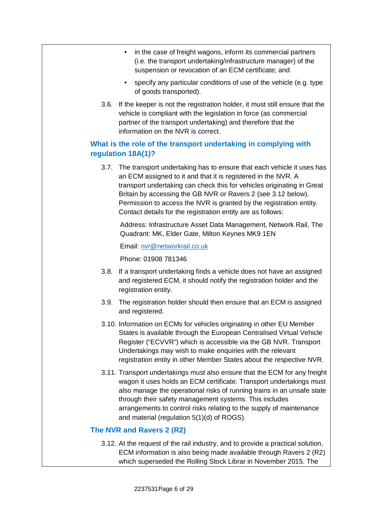- in the case of freight wagons, inform its commercial partners (i.e. the transport undertaking/infrastructure manager) of the suspension or revocation of an ECM certificate; and
- specify any particular conditions of use of the vehicle (e.g. type of goods transported).
- 3.6. If the keeper is not the registration holder, it must still ensure that the vehicle is compliant with the legislation in force (as commercial partner of the transport undertaking) and therefore that the information on the NVR is correct.

## <span id="page-5-0"></span>**What is the role of the transport undertaking in complying with regulation 18A(1)?**

3.7. The transport undertaking has to ensure that each vehicle it uses has an ECM assigned to it and that it is registered in the NVR. A transport undertaking can check this for vehicles originating in Great Britain by accessing the GB NVR or Ravers 2 (see 3.12 below). Permission to access the NVR is granted by the registration entity. Contact details for the registration entity are as follows:

Address: Infrastructure Asset Data Management, Network Rail, The Quadrant: MK, Elder Gate, Milton Keynes MK9 1EN

Email: [nvr@networkrail.co.uk](mailto:nvr@networkrail.co.uk)

Phone: 01908 781346

- 3.8. If a transport undertaking finds a vehicle does not have an assigned and registered ECM, it should notify the registration holder and the registration entity.
- 3.9. The registration holder should then ensure that an ECM is assigned and registered.
- 3.10. Information on ECMs for vehicles originating in other EU Member States is available through the European Centralised Virtual Vehicle Register ("ECVVR") which is accessible via the GB NVR. Transport Undertakings may wish to make enquiries with the relevant registration entity in other Member States about the respective NVR.
- 3.11. Transport undertakings must also ensure that the ECM for any freight wagon it uses holds an ECM certificate. Transport undertakings must also manage the operational risks of running trains in an unsafe state through their safety management systems. This includes arrangements to control risks relating to the supply of maintenance and material (regulation 5(1)(d) of ROGS).

#### <span id="page-5-1"></span>**The NVR and Ravers 2 (R2)**

3.12. At the request of the rail industry, and to provide a practical solution, ECM information is also being made available through Ravers 2 (R2) which superseded the Rolling Stock Librar in November 2015. The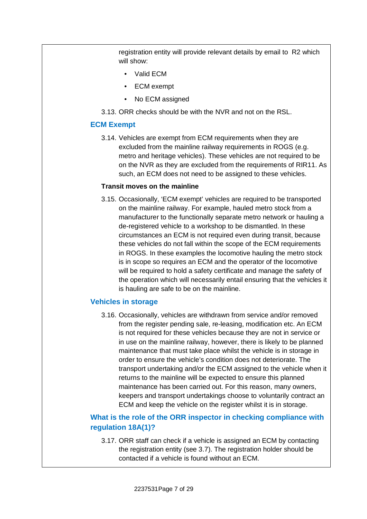registration entity will provide relevant details by email to R2 which will show:

- Valid ECM
- ECM exempt
- No ECM assigned
- 3.13. ORR checks should be with the NVR and not on the RSL.

#### <span id="page-6-0"></span>**ECM Exempt**

3.14. Vehicles are exempt from ECM requirements when they are excluded from the mainline railway requirements in ROGS (e.g. metro and heritage vehicles). These vehicles are not required to be on the NVR as they are excluded from the requirements of RIR11. As such, an ECM does not need to be assigned to these vehicles.

#### <span id="page-6-1"></span>**Transit moves on the mainline**

3.15. Occasionally, 'ECM exempt' vehicles are required to be transported on the mainline railway. For example, hauled metro stock from a manufacturer to the functionally separate metro network or hauling a de-registered vehicle to a workshop to be dismantled. In these circumstances an ECM is not required even during transit, because these vehicles do not fall within the scope of the ECM requirements in ROGS. In these examples the locomotive hauling the metro stock is in scope so requires an ECM and the operator of the locomotive will be required to hold a safety certificate and manage the safety of the operation which will necessarily entail ensuring that the vehicles it is hauling are safe to be on the mainline.

#### <span id="page-6-2"></span>**Vehicles in storage**

3.16. Occasionally, vehicles are withdrawn from service and/or removed from the register pending sale, re-leasing, modification etc. An ECM is not required for these vehicles because they are not in service or in use on the mainline railway, however, there is likely to be planned maintenance that must take place whilst the vehicle is in storage in order to ensure the vehicle's condition does not deteriorate. The transport undertaking and/or the ECM assigned to the vehicle when it returns to the mainline will be expected to ensure this planned maintenance has been carried out. For this reason, many owners, keepers and transport undertakings choose to voluntarily contract an ECM and keep the vehicle on the register whilst it is in storage.

## <span id="page-6-3"></span>**What is the role of the ORR inspector in checking compliance with regulation 18A(1)?**

3.17. ORR staff can check if a vehicle is assigned an ECM by contacting the registration entity (see 3.7). The registration holder should be contacted if a vehicle is found without an ECM.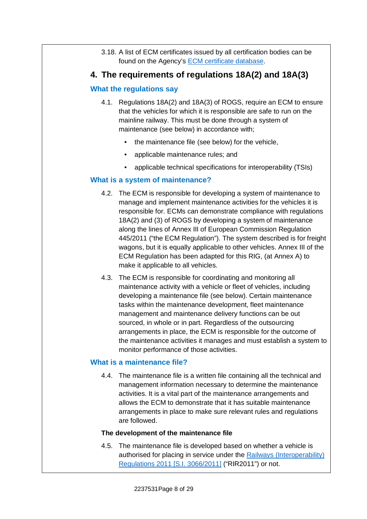3.18. A list of ECM certificates issued by all certification bodies can be found on the Agency's **[ECM certificate database](https://eradis.era.europa.eu/safety_docs/ecm/certificates/default.aspx?DocType=1)**.

## <span id="page-7-0"></span>**4. The requirements of regulations 18A(2) and 18A(3)**

#### <span id="page-7-1"></span>**What the regulations say**

- 4.1. Regulations 18A(2) and 18A(3) of ROGS, require an ECM to ensure that the vehicles for which it is responsible are safe to run on the mainline railway. This must be done through a system of maintenance (see below) in accordance with;
	- the maintenance file (see below) for the vehicle,
	- applicable maintenance rules; and
	- applicable technical specifications for interoperability (TSIs)

## <span id="page-7-2"></span>**What is a system of maintenance?**

- 4.2. The ECM is responsible for developing a system of maintenance to manage and implement maintenance activities for the vehicles it is responsible for. ECMs can demonstrate compliance with regulations 18A(2) and (3) of ROGS by developing a system of maintenance along the lines of Annex III of European Commission Regulation 445/2011 ("the ECM Regulation"). The system described is for freight wagons, but it is equally applicable to other vehicles. Annex III of the ECM Regulation has been adapted for this RIG, (at Annex A) to make it applicable to all vehicles.
- 4.3. The ECM is responsible for coordinating and monitoring all maintenance activity with a vehicle or fleet of vehicles, including developing a maintenance file (see below). Certain maintenance tasks within the maintenance development, fleet maintenance management and maintenance delivery functions can be out sourced, in whole or in part. Regardless of the outsourcing arrangements in place, the ECM is responsible for the outcome of the maintenance activities it manages and must establish a system to monitor performance of those activities.

#### <span id="page-7-3"></span>**What is a maintenance file?**

4.4. The maintenance file is a written file containing all the technical and management information necessary to determine the maintenance activities. It is a vital part of the maintenance arrangements and allows the ECM to demonstrate that it has suitable maintenance arrangements in place to make sure relevant rules and regulations are followed.

#### <span id="page-7-4"></span>**The development of the maintenance file**

4.5. The maintenance file is developed based on whether a vehicle is authorised for placing in service under the [Railways \(Interoperability\)](https://www.legislation.gov.uk/uksi/2011/3066/contents)  [Regulations 2011 \[S.I. 3066/2011\]](https://www.legislation.gov.uk/uksi/2011/3066/contents) ("RIR2011") or not.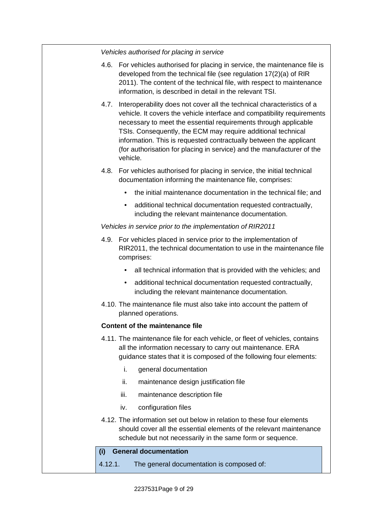*Vehicles authorised for placing in service*

- 4.6. For vehicles authorised for placing in service, the maintenance file is developed from the technical file (see regulation 17(2)(a) of RIR 2011). The content of the technical file, with respect to maintenance information, is described in detail in the relevant TSI.
- 4.7. Interoperability does not cover all the technical characteristics of a vehicle. It covers the vehicle interface and compatibility requirements necessary to meet the essential requirements through applicable TSIs. Consequently, the ECM may require additional technical information. This is requested contractually between the applicant (for authorisation for placing in service) and the manufacturer of the vehicle.
- 4.8. For vehicles authorised for placing in service, the initial technical documentation informing the maintenance file, comprises:
	- the initial maintenance documentation in the technical file; and
	- additional technical documentation requested contractually, including the relevant maintenance documentation.

#### *Vehicles in service prior to the implementation of RIR2011*

- 4.9. For vehicles placed in service prior to the implementation of RIR2011, the technical documentation to use in the maintenance file comprises:
	- all technical information that is provided with the vehicles; and
	- additional technical documentation requested contractually, including the relevant maintenance documentation.
- 4.10. The maintenance file must also take into account the pattern of planned operations.

#### <span id="page-8-0"></span>**Content of the maintenance file**

- 4.11. The maintenance file for each vehicle, or fleet of vehicles, contains all the information necessary to carry out maintenance. ERA guidance states that it is composed of the following four elements:
	- i. general documentation
	- ii. maintenance design justification file
	- iii. maintenance description file
	- iv. configuration files
- 4.12. The information set out below in relation to these four elements should cover all the essential elements of the relevant maintenance schedule but not necessarily in the same form or sequence.

#### **(i) General documentation**

4.12.1. The general documentation is composed of: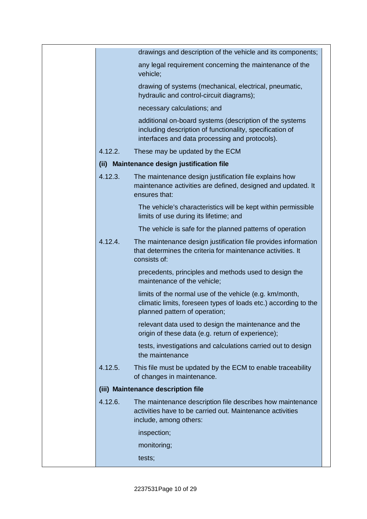|         | drawings and description of the vehicle and its components;                                                                                                           |  |
|---------|-----------------------------------------------------------------------------------------------------------------------------------------------------------------------|--|
|         | any legal requirement concerning the maintenance of the<br>vehicle;                                                                                                   |  |
|         | drawing of systems (mechanical, electrical, pneumatic,<br>hydraulic and control-circuit diagrams);                                                                    |  |
|         | necessary calculations; and                                                                                                                                           |  |
|         | additional on-board systems (description of the systems<br>including description of functionality, specification of<br>interfaces and data processing and protocols). |  |
| 4.12.2. | These may be updated by the ECM                                                                                                                                       |  |
|         | (ii) Maintenance design justification file                                                                                                                            |  |
| 4.12.3. | The maintenance design justification file explains how<br>maintenance activities are defined, designed and updated. It<br>ensures that:                               |  |
|         | The vehicle's characteristics will be kept within permissible<br>limits of use during its lifetime; and                                                               |  |
|         | The vehicle is safe for the planned patterns of operation                                                                                                             |  |
| 4.12.4. | The maintenance design justification file provides information<br>that determines the criteria for maintenance activities. It<br>consists of:                         |  |
|         | precedents, principles and methods used to design the<br>maintenance of the vehicle;                                                                                  |  |
|         | limits of the normal use of the vehicle (e.g. km/month,<br>climatic limits, foreseen types of loads etc.) according to the<br>planned pattern of operation;           |  |
|         | relevant data used to design the maintenance and the<br>origin of these data (e.g. return of experience);                                                             |  |
|         | tests, investigations and calculations carried out to design<br>the maintenance                                                                                       |  |
| 4.12.5. | This file must be updated by the ECM to enable traceability<br>of changes in maintenance.                                                                             |  |
|         | (iii) Maintenance description file                                                                                                                                    |  |
| 4.12.6. | The maintenance description file describes how maintenance<br>activities have to be carried out. Maintenance activities<br>include, among others:                     |  |
|         | inspection;                                                                                                                                                           |  |
|         | monitoring;                                                                                                                                                           |  |
|         | tests;                                                                                                                                                                |  |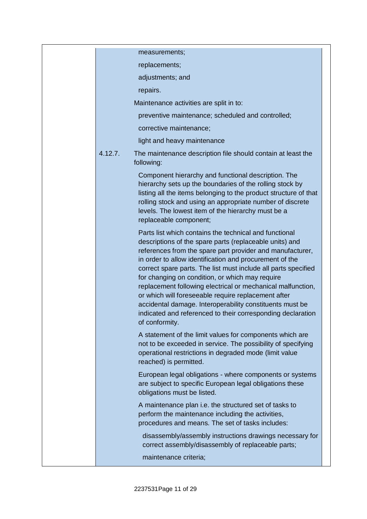|         | measurements;                                                                                                                                                                                                                                                                                                                                                                                                                                                                                                                                                                                                                     |  |
|---------|-----------------------------------------------------------------------------------------------------------------------------------------------------------------------------------------------------------------------------------------------------------------------------------------------------------------------------------------------------------------------------------------------------------------------------------------------------------------------------------------------------------------------------------------------------------------------------------------------------------------------------------|--|
|         | replacements;                                                                                                                                                                                                                                                                                                                                                                                                                                                                                                                                                                                                                     |  |
|         | adjustments; and                                                                                                                                                                                                                                                                                                                                                                                                                                                                                                                                                                                                                  |  |
|         | repairs.                                                                                                                                                                                                                                                                                                                                                                                                                                                                                                                                                                                                                          |  |
|         | Maintenance activities are split in to:                                                                                                                                                                                                                                                                                                                                                                                                                                                                                                                                                                                           |  |
|         | preventive maintenance; scheduled and controlled;                                                                                                                                                                                                                                                                                                                                                                                                                                                                                                                                                                                 |  |
|         | corrective maintenance;                                                                                                                                                                                                                                                                                                                                                                                                                                                                                                                                                                                                           |  |
|         | light and heavy maintenance                                                                                                                                                                                                                                                                                                                                                                                                                                                                                                                                                                                                       |  |
| 4.12.7. | The maintenance description file should contain at least the<br>following:                                                                                                                                                                                                                                                                                                                                                                                                                                                                                                                                                        |  |
|         | Component hierarchy and functional description. The<br>hierarchy sets up the boundaries of the rolling stock by<br>listing all the items belonging to the product structure of that<br>rolling stock and using an appropriate number of discrete<br>levels. The lowest item of the hierarchy must be a<br>replaceable component;                                                                                                                                                                                                                                                                                                  |  |
|         | Parts list which contains the technical and functional<br>descriptions of the spare parts (replaceable units) and<br>references from the spare part provider and manufacturer,<br>in order to allow identification and procurement of the<br>correct spare parts. The list must include all parts specified<br>for changing on condition, or which may require<br>replacement following electrical or mechanical malfunction,<br>or which will foreseeable require replacement after<br>accidental damage. Interoperability constituents must be<br>indicated and referenced to their corresponding declaration<br>of conformity. |  |
|         | A statement of the limit values for components which are<br>not to be exceeded in service. The possibility of specifying<br>operational restrictions in degraded mode (limit value<br>reached) is permitted.                                                                                                                                                                                                                                                                                                                                                                                                                      |  |
|         | European legal obligations - where components or systems<br>are subject to specific European legal obligations these<br>obligations must be listed.                                                                                                                                                                                                                                                                                                                                                                                                                                                                               |  |
|         | A maintenance plan i.e. the structured set of tasks to<br>perform the maintenance including the activities,<br>procedures and means. The set of tasks includes:                                                                                                                                                                                                                                                                                                                                                                                                                                                                   |  |
|         | disassembly/assembly instructions drawings necessary for<br>correct assembly/disassembly of replaceable parts;                                                                                                                                                                                                                                                                                                                                                                                                                                                                                                                    |  |
|         | maintenance criteria;                                                                                                                                                                                                                                                                                                                                                                                                                                                                                                                                                                                                             |  |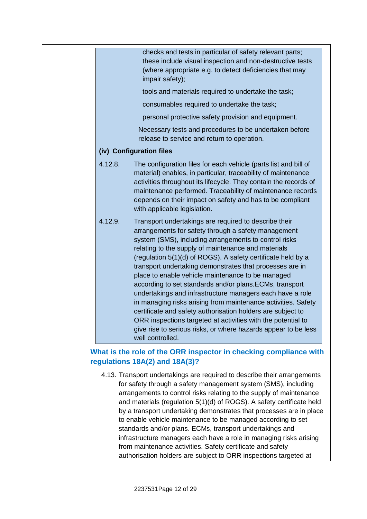checks and tests in particular of safety relevant parts; these include visual inspection and non-destructive tests (where appropriate e.g. to detect deficiencies that may impair safety); tools and materials required to undertake the task; consumables required to undertake the task; personal protective safety provision and equipment. Necessary tests and procedures to be undertaken before release to service and return to operation. **(iv) Configuration files** 4.12.8. The configuration files for each vehicle (parts list and bill of material) enables, in particular, traceability of maintenance activities throughout its lifecycle. They contain the records of maintenance performed. Traceability of maintenance records depends on their impact on safety and has to be compliant with applicable legislation. 4.12.9. Transport undertakings are required to describe their arrangements for safety through a safety management system (SMS), including arrangements to control risks relating to the supply of maintenance and materials (regulation 5(1)(d) of ROGS). A safety certificate held by a transport undertaking demonstrates that processes are in place to enable vehicle maintenance to be managed according to set standards and/or plans.ECMs, transport undertakings and infrastructure managers each have a role in managing risks arising from maintenance activities. Safety

## give rise to serious risks, or where hazards appear to be less well controlled. **What is the role of the ORR inspector in checking compliance with**

certificate and safety authorisation holders are subject to ORR inspections targeted at activities with the potential to

## 4.13. Transport undertakings are required to describe their arrangements for safety through a safety management system (SMS), including arrangements to control risks relating to the supply of maintenance and materials (regulation 5(1)(d) of ROGS). A safety certificate held by a transport undertaking demonstrates that processes are in place to enable vehicle maintenance to be managed according to set standards and/or plans. ECMs, transport undertakings and infrastructure managers each have a role in managing risks arising from maintenance activities. Safety certificate and safety authorisation holders are subject to ORR inspections targeted at

<span id="page-11-0"></span>**regulations 18A(2) and 18A(3)?**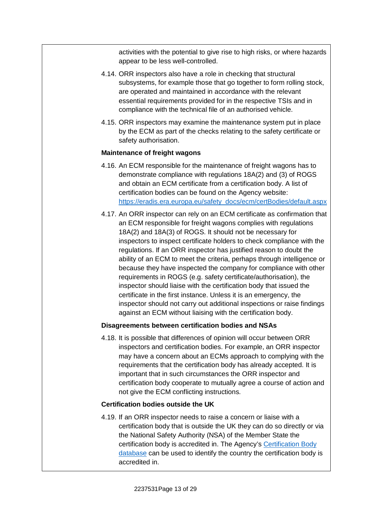activities with the potential to give rise to high risks, or where hazards appear to be less well-controlled.

- 4.14. ORR inspectors also have a role in checking that structural subsystems, for example those that go together to form rolling stock, are operated and maintained in accordance with the relevant essential requirements provided for in the respective TSIs and in compliance with the technical file of an authorised vehicle.
- 4.15. ORR inspectors may examine the maintenance system put in place by the ECM as part of the checks relating to the safety certificate or safety authorisation.

#### <span id="page-12-0"></span>**Maintenance of freight wagons**

- 4.16. An ECM responsible for the maintenance of freight wagons has to demonstrate compliance with regulations 18A(2) and (3) of ROGS and obtain an ECM certificate from a certification body. A list of certification bodies can be found on the Agency website: [https://eradis.era.europa.eu/safety\\_docs/ecm/certBodies/default.aspx](https://eradis.era.europa.eu/safety_docs/ecm/certBodies/default.aspx)
- 4.17. An ORR inspector can rely on an ECM certificate as confirmation that an ECM responsible for freight wagons complies with regulations 18A(2) and 18A(3) of ROGS. It should not be necessary for inspectors to inspect certificate holders to check compliance with the regulations. If an ORR inspector has justified reason to doubt the ability of an ECM to meet the criteria, perhaps through intelligence or because they have inspected the company for compliance with other requirements in ROGS (e.g. safety certificate/authorisation), the inspector should liaise with the certification body that issued the certificate in the first instance. Unless it is an emergency, the inspector should not carry out additional inspections or raise findings against an ECM without liaising with the certification body.

#### <span id="page-12-1"></span>**Disagreements between certification bodies and NSAs**

4.18. It is possible that differences of opinion will occur between ORR inspectors and certification bodies. For example, an ORR inspector may have a concern about an ECMs approach to complying with the requirements that the certification body has already accepted. It is important that in such circumstances the ORR inspector and certification body cooperate to mutually agree a course of action and not give the ECM conflicting instructions.

#### <span id="page-12-2"></span>**Certification bodies outside the UK**

4.19. If an ORR inspector needs to raise a concern or liaise with a certification body that is outside the UK they can do so directly or via the National Safety Authority (NSA) of the Member State the certification body is accredited in. The Agency's [Certification Body](https://eradis.era.europa.eu/safety_docs/ecm/certBodies/default.aspx)  [database](https://eradis.era.europa.eu/safety_docs/ecm/certBodies/default.aspx) can be used to identify the country the certification body is accredited in.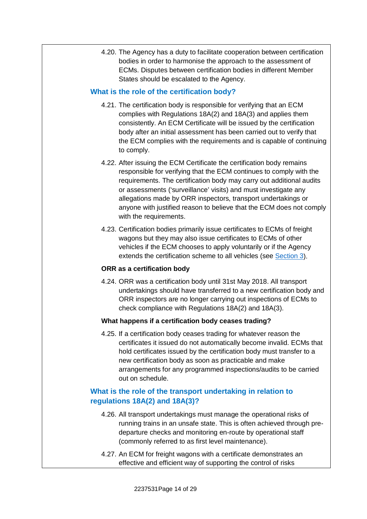4.20. The Agency has a duty to facilitate cooperation between certification bodies in order to harmonise the approach to the assessment of ECMs. Disputes between certification bodies in different Member States should be escalated to the Agency.

#### <span id="page-13-0"></span>**What is the role of the certification body?**

- 4.21. The certification body is responsible for verifying that an ECM complies with Regulations 18A(2) and 18A(3) and applies them consistently. An ECM Certificate will be issued by the certification body after an initial assessment has been carried out to verify that the ECM complies with the requirements and is capable of continuing to comply.
- 4.22. After issuing the ECM Certificate the certification body remains responsible for verifying that the ECM continues to comply with the requirements. The certification body may carry out additional audits or assessments ('surveillance' visits) and must investigate any allegations made by ORR inspectors, transport undertakings or anyone with justified reason to believe that the ECM does not comply with the requirements.
- 4.23. Certification bodies primarily issue certificates to ECMs of freight wagons but they may also issue certificates to ECMs of other vehicles if the ECM chooses to apply voluntarily or if the Agency extends the certification scheme to all vehicles (see [Section 3\)](#page-3-1).

#### <span id="page-13-1"></span>**ORR as a certification body**

4.24. ORR was a certification body until 31st May 2018. All transport undertakings should have transferred to a new certification body and ORR inspectors are no longer carrying out inspections of ECMs to check compliance with Regulations 18A(2) and 18A(3).

#### <span id="page-13-2"></span>**What happens if a certification body ceases trading?**

4.25. If a certification body ceases trading for whatever reason the certificates it issued do not automatically become invalid. ECMs that hold certificates issued by the certification body must transfer to a new certification body as soon as practicable and make arrangements for any programmed inspections/audits to be carried out on schedule.

## <span id="page-13-3"></span>**What is the role of the transport undertaking in relation to regulations 18A(2) and 18A(3)?**

- 4.26. All transport undertakings must manage the operational risks of running trains in an unsafe state. This is often achieved through predeparture checks and monitoring en-route by operational staff (commonly referred to as first level maintenance).
- 4.27. An ECM for freight wagons with a certificate demonstrates an effective and efficient way of supporting the control of risks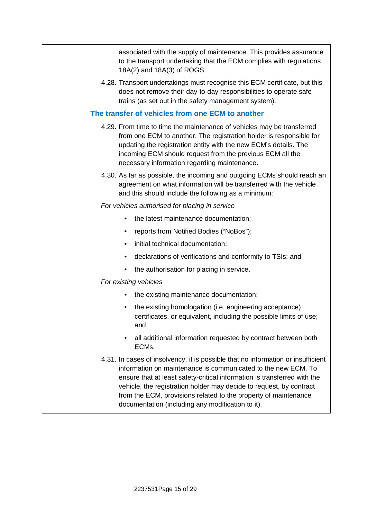associated with the supply of maintenance. This provides assurance to the transport undertaking that the ECM complies with regulations 18A(2) and 18A(3) of ROGS.

4.28. Transport undertakings must recognise this ECM certificate, but this does not remove their day-to-day responsibilities to operate safe trains (as set out in the safety management system).

#### <span id="page-14-0"></span>**The transfer of vehicles from one ECM to another**

- 4.29. From time to time the maintenance of vehicles may be transferred from one ECM to another. The registration holder is responsible for updating the registration entity with the new ECM's details. The incoming ECM should request from the previous ECM all the necessary information regarding maintenance.
- 4.30. As far as possible, the incoming and outgoing ECMs should reach an agreement on what information will be transferred with the vehicle and this should include the following as a minimum:

#### *For vehicles authorised for placing in service*

- the latest maintenance documentation;
- reports from Notified Bodies ("NoBos");
- initial technical documentation;
- declarations of verifications and conformity to TSIs; and
- the authorisation for placing in service.

#### *For existing vehicles*

- the existing maintenance documentation;
- the existing homologation (i.e. engineering acceptance) certificates, or equivalent, including the possible limits of use; and
- all additional information requested by contract between both ECMs.
- 4.31. In cases of insolvency, it is possible that no information or insufficient information on maintenance is communicated to the new ECM. To ensure that at least safety-critical information is transferred with the vehicle, the registration holder may decide to request, by contract from the ECM, provisions related to the property of maintenance documentation (including any modification to it).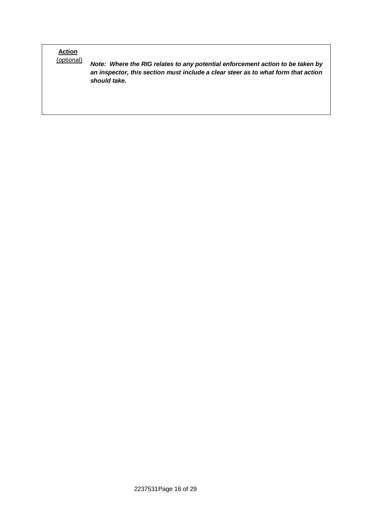# **Action**<br>(**optional**)

Note: Where the RIG relates to any potential enforcement action to be taken by *an inspector, this section must include a clear steer as to what form that action should take.*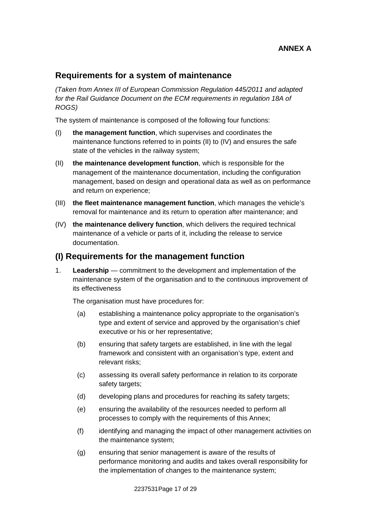## **Requirements for a system of maintenance**

*(Taken from Annex III of European Commission Regulation 445/2011 and adapted for the Rail Guidance Document on the ECM requirements in regulation 18A of ROGS)*

The system of maintenance is composed of the following four functions:

- (I) **the management function**, which supervises and coordinates the maintenance functions referred to in points (II) to (IV) and ensures the safe state of the vehicles in the railway system;
- (II) **the maintenance development function**, which is responsible for the management of the maintenance documentation, including the configuration management, based on design and operational data as well as on performance and return on experience;
- (III) **the fleet maintenance management function**, which manages the vehicle's removal for maintenance and its return to operation after maintenance; and
- (IV) **the maintenance delivery function**, which delivers the required technical maintenance of a vehicle or parts of it, including the release to service documentation.

#### **(I) Requirements for the management function**

1. **Leadership** — commitment to the development and implementation of the maintenance system of the organisation and to the continuous improvement of its effectiveness

The organisation must have procedures for:

- (a) establishing a maintenance policy appropriate to the organisation's type and extent of service and approved by the organisation's chief executive or his or her representative;
- (b) ensuring that safety targets are established, in line with the legal framework and consistent with an organisation's type, extent and relevant risks;
- (c) assessing its overall safety performance in relation to its corporate safety targets;
- (d) developing plans and procedures for reaching its safety targets;
- (e) ensuring the availability of the resources needed to perform all processes to comply with the requirements of this Annex;
- (f) identifying and managing the impact of other management activities on the maintenance system;
- (g) ensuring that senior management is aware of the results of performance monitoring and audits and takes overall responsibility for the implementation of changes to the maintenance system;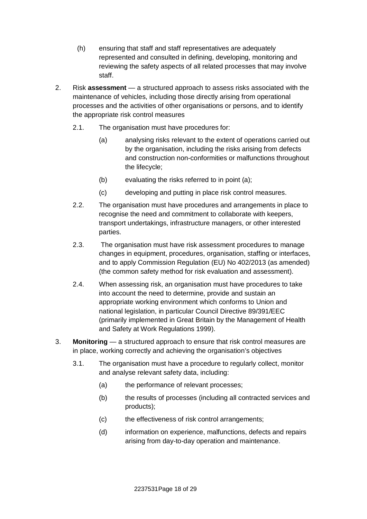- (h) ensuring that staff and staff representatives are adequately represented and consulted in defining, developing, monitoring and reviewing the safety aspects of all related processes that may involve staff.
- 2. Risk **assessment** a structured approach to assess risks associated with the maintenance of vehicles, including those directly arising from operational processes and the activities of other organisations or persons, and to identify the appropriate risk control measures
	- 2.1. The organisation must have procedures for:
		- (a) analysing risks relevant to the extent of operations carried out by the organisation, including the risks arising from defects and construction non-conformities or malfunctions throughout the lifecycle;
		- (b) evaluating the risks referred to in point (a);
		- (c) developing and putting in place risk control measures.
	- 2.2. The organisation must have procedures and arrangements in place to recognise the need and commitment to collaborate with keepers, transport undertakings, infrastructure managers, or other interested parties.
	- 2.3. The organisation must have risk assessment procedures to manage changes in equipment, procedures, organisation, staffing or interfaces, and to apply Commission Regulation (EU) No 402/2013 (as amended) (the common safety method for risk evaluation and assessment).
	- 2.4. When assessing risk, an organisation must have procedures to take into account the need to determine, provide and sustain an appropriate working environment which conforms to Union and national legislation, in particular Council Directive 89/391/EEC (primarily implemented in Great Britain by the Management of Health and Safety at Work Regulations 1999).
- 3. **Monitoring** a structured approach to ensure that risk control measures are in place, working correctly and achieving the organisation's objectives
	- 3.1. The organisation must have a procedure to regularly collect, monitor and analyse relevant safety data, including:
		- (a) the performance of relevant processes;
		- (b) the results of processes (including all contracted services and products);
		- (c) the effectiveness of risk control arrangements;
		- (d) information on experience, malfunctions, defects and repairs arising from day-to-day operation and maintenance.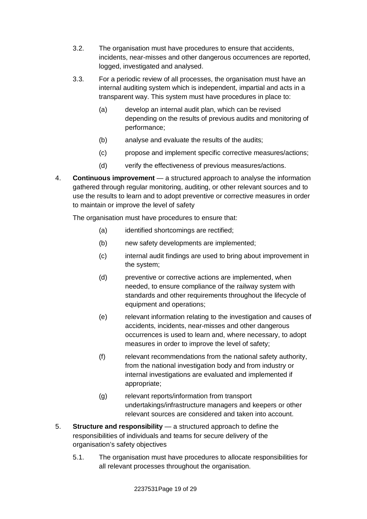- 3.2. The organisation must have procedures to ensure that accidents, incidents, near-misses and other dangerous occurrences are reported, logged, investigated and analysed.
- 3.3. For a periodic review of all processes, the organisation must have an internal auditing system which is independent, impartial and acts in a transparent way. This system must have procedures in place to:
	- (a) develop an internal audit plan, which can be revised depending on the results of previous audits and monitoring of performance;
	- (b) analyse and evaluate the results of the audits;
	- (c) propose and implement specific corrective measures/actions;
	- (d) verify the effectiveness of previous measures/actions.
- 4. **Continuous improvement** a structured approach to analyse the information gathered through regular monitoring, auditing, or other relevant sources and to use the results to learn and to adopt preventive or corrective measures in order to maintain or improve the level of safety

The organisation must have procedures to ensure that:

- (a) identified shortcomings are rectified;
- (b) new safety developments are implemented;
- (c) internal audit findings are used to bring about improvement in the system;
- (d) preventive or corrective actions are implemented, when needed, to ensure compliance of the railway system with standards and other requirements throughout the lifecycle of equipment and operations;
- (e) relevant information relating to the investigation and causes of accidents, incidents, near-misses and other dangerous occurrences is used to learn and, where necessary, to adopt measures in order to improve the level of safety;
- (f) relevant recommendations from the national safety authority, from the national investigation body and from industry or internal investigations are evaluated and implemented if appropriate;
- (g) relevant reports/information from transport undertakings/infrastructure managers and keepers or other relevant sources are considered and taken into account.
- 5. **Structure and responsibility** a structured approach to define the responsibilities of individuals and teams for secure delivery of the organisation's safety objectives
	- 5.1. The organisation must have procedures to allocate responsibilities for all relevant processes throughout the organisation.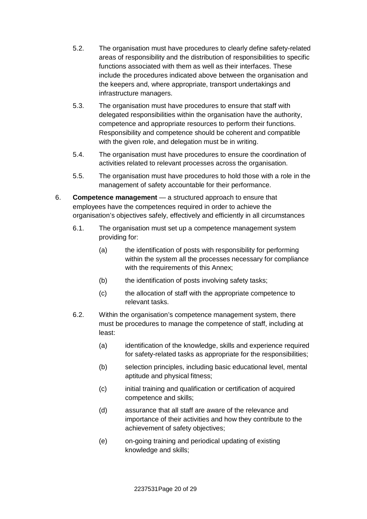- 5.2. The organisation must have procedures to clearly define safety-related areas of responsibility and the distribution of responsibilities to specific functions associated with them as well as their interfaces. These include the procedures indicated above between the organisation and the keepers and, where appropriate, transport undertakings and infrastructure managers.
- 5.3. The organisation must have procedures to ensure that staff with delegated responsibilities within the organisation have the authority, competence and appropriate resources to perform their functions. Responsibility and competence should be coherent and compatible with the given role, and delegation must be in writing.
- 5.4. The organisation must have procedures to ensure the coordination of activities related to relevant processes across the organisation.
- 5.5. The organisation must have procedures to hold those with a role in the management of safety accountable for their performance.
- 6. **Competence management** a structured approach to ensure that employees have the competences required in order to achieve the organisation's objectives safely, effectively and efficiently in all circumstances
	- 6.1. The organisation must set up a competence management system providing for:
		- (a) the identification of posts with responsibility for performing within the system all the processes necessary for compliance with the requirements of this Annex;
		- (b) the identification of posts involving safety tasks;
		- (c) the allocation of staff with the appropriate competence to relevant tasks.
	- 6.2. Within the organisation's competence management system, there must be procedures to manage the competence of staff, including at least:
		- (a) identification of the knowledge, skills and experience required for safety-related tasks as appropriate for the responsibilities;
		- (b) selection principles, including basic educational level, mental aptitude and physical fitness;
		- (c) initial training and qualification or certification of acquired competence and skills;
		- (d) assurance that all staff are aware of the relevance and importance of their activities and how they contribute to the achievement of safety objectives;
		- (e) on-going training and periodical updating of existing knowledge and skills;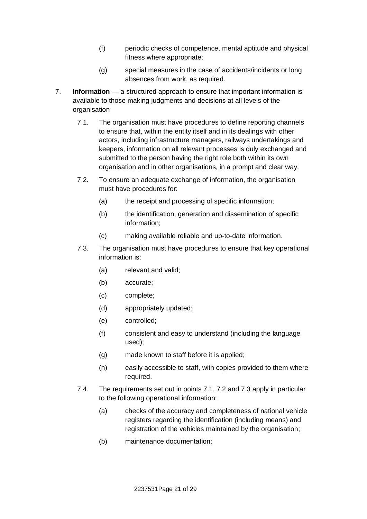- (f) periodic checks of competence, mental aptitude and physical fitness where appropriate;
- (g) special measures in the case of accidents/incidents or long absences from work, as required.
- 7. **Information** a structured approach to ensure that important information is available to those making judgments and decisions at all levels of the organisation
	- 7.1. The organisation must have procedures to define reporting channels to ensure that, within the entity itself and in its dealings with other actors, including infrastructure managers, railways undertakings and keepers, information on all relevant processes is duly exchanged and submitted to the person having the right role both within its own organisation and in other organisations, in a prompt and clear way.
	- 7.2. To ensure an adequate exchange of information, the organisation must have procedures for:
		- (a) the receipt and processing of specific information;
		- (b) the identification, generation and dissemination of specific information;
		- (c) making available reliable and up-to-date information.
	- 7.3. The organisation must have procedures to ensure that key operational information is:
		- (a) relevant and valid;
		- (b) accurate;
		- (c) complete;
		- (d) appropriately updated;
		- (e) controlled;
		- (f) consistent and easy to understand (including the language used);
		- (g) made known to staff before it is applied;
		- (h) easily accessible to staff, with copies provided to them where required.
	- 7.4. The requirements set out in points 7.1, 7.2 and 7.3 apply in particular to the following operational information:
		- (a) checks of the accuracy and completeness of national vehicle registers regarding the identification (including means) and registration of the vehicles maintained by the organisation;
		- (b) maintenance documentation;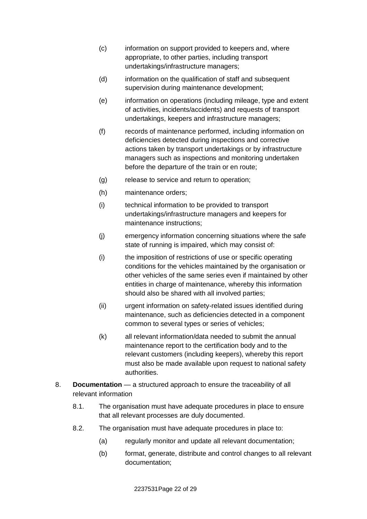- (c) information on support provided to keepers and, where appropriate, to other parties, including transport undertakings/infrastructure managers;
- (d) information on the qualification of staff and subsequent supervision during maintenance development;
- (e) information on operations (including mileage, type and extent of activities, incidents/accidents) and requests of transport undertakings, keepers and infrastructure managers;
- (f) records of maintenance performed, including information on deficiencies detected during inspections and corrective actions taken by transport undertakings or by infrastructure managers such as inspections and monitoring undertaken before the departure of the train or en route;
- (g) release to service and return to operation;
- (h) maintenance orders;
- (i) technical information to be provided to transport undertakings/infrastructure managers and keepers for maintenance instructions;
- (j) emergency information concerning situations where the safe state of running is impaired, which may consist of:
- (i) the imposition of restrictions of use or specific operating conditions for the vehicles maintained by the organisation or other vehicles of the same series even if maintained by other entities in charge of maintenance, whereby this information should also be shared with all involved parties;
- (ii) urgent information on safety-related issues identified during maintenance, such as deficiencies detected in a component common to several types or series of vehicles;
- (k) all relevant information/data needed to submit the annual maintenance report to the certification body and to the relevant customers (including keepers), whereby this report must also be made available upon request to national safety authorities.
- 8. **Documentation** a structured approach to ensure the traceability of all relevant information
	- 8.1. The organisation must have adequate procedures in place to ensure that all relevant processes are duly documented.
	- 8.2. The organisation must have adequate procedures in place to:
		- (a) regularly monitor and update all relevant documentation;
		- (b) format, generate, distribute and control changes to all relevant documentation;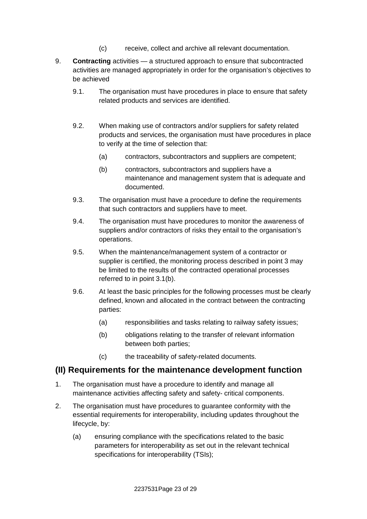- (c) receive, collect and archive all relevant documentation.
- 9. **Contracting** activities a structured approach to ensure that subcontracted activities are managed appropriately in order for the organisation's objectives to be achieved
	- 9.1. The organisation must have procedures in place to ensure that safety related products and services are identified.
	- 9.2. When making use of contractors and/or suppliers for safety related products and services, the organisation must have procedures in place to verify at the time of selection that:
		- (a) contractors, subcontractors and suppliers are competent;
		- (b) contractors, subcontractors and suppliers have a maintenance and management system that is adequate and documented.
	- 9.3. The organisation must have a procedure to define the requirements that such contractors and suppliers have to meet.
	- 9.4. The organisation must have procedures to monitor the awareness of suppliers and/or contractors of risks they entail to the organisation's operations.
	- 9.5. When the maintenance/management system of a contractor or supplier is certified, the monitoring process described in point 3 may be limited to the results of the contracted operational processes referred to in point 3.1(b).
	- 9.6. At least the basic principles for the following processes must be clearly defined, known and allocated in the contract between the contracting parties:
		- (a) responsibilities and tasks relating to railway safety issues:
		- (b) obligations relating to the transfer of relevant information between both parties;
		- (c) the traceability of safety-related documents.

## **(II) Requirements for the maintenance development function**

- 1. The organisation must have a procedure to identify and manage all maintenance activities affecting safety and safety- critical components.
- 2. The organisation must have procedures to guarantee conformity with the essential requirements for interoperability, including updates throughout the lifecycle, by:
	- (a) ensuring compliance with the specifications related to the basic parameters for interoperability as set out in the relevant technical specifications for interoperability (TSIs);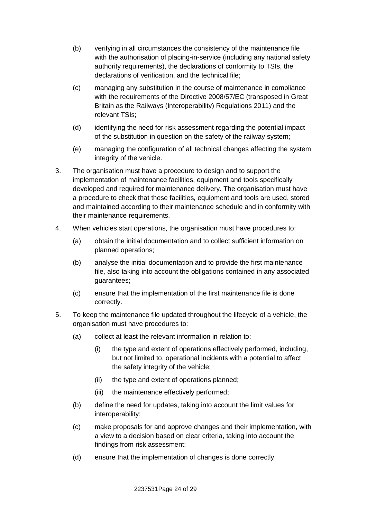- (b) verifying in all circumstances the consistency of the maintenance file with the authorisation of placing-in-service (including any national safety authority requirements), the declarations of conformity to TSIs, the declarations of verification, and the technical file;
- (c) managing any substitution in the course of maintenance in compliance with the requirements of the Directive 2008/57/EC (transposed in Great Britain as the Railways (Interoperability) Regulations 2011) and the relevant TSIs;
- (d) identifying the need for risk assessment regarding the potential impact of the substitution in question on the safety of the railway system;
- (e) managing the configuration of all technical changes affecting the system integrity of the vehicle.
- 3. The organisation must have a procedure to design and to support the implementation of maintenance facilities, equipment and tools specifically developed and required for maintenance delivery. The organisation must have a procedure to check that these facilities, equipment and tools are used, stored and maintained according to their maintenance schedule and in conformity with their maintenance requirements.
- 4. When vehicles start operations, the organisation must have procedures to:
	- (a) obtain the initial documentation and to collect sufficient information on planned operations;
	- (b) analyse the initial documentation and to provide the first maintenance file, also taking into account the obligations contained in any associated guarantees;
	- (c) ensure that the implementation of the first maintenance file is done correctly.
- 5. To keep the maintenance file updated throughout the lifecycle of a vehicle, the organisation must have procedures to:
	- (a) collect at least the relevant information in relation to:
		- (i) the type and extent of operations effectively performed, including, but not limited to, operational incidents with a potential to affect the safety integrity of the vehicle;
		- (ii) the type and extent of operations planned;
		- (iii) the maintenance effectively performed;
	- (b) define the need for updates, taking into account the limit values for interoperability;
	- (c) make proposals for and approve changes and their implementation, with a view to a decision based on clear criteria, taking into account the findings from risk assessment;
	- (d) ensure that the implementation of changes is done correctly.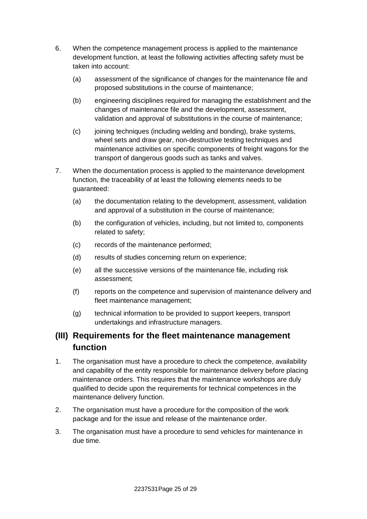- 6. When the competence management process is applied to the maintenance development function, at least the following activities affecting safety must be taken into account:
	- (a) assessment of the significance of changes for the maintenance file and proposed substitutions in the course of maintenance;
	- (b) engineering disciplines required for managing the establishment and the changes of maintenance file and the development, assessment, validation and approval of substitutions in the course of maintenance;
	- (c) joining techniques (including welding and bonding), brake systems, wheel sets and draw gear, non-destructive testing techniques and maintenance activities on specific components of freight wagons for the transport of dangerous goods such as tanks and valves.
- 7. When the documentation process is applied to the maintenance development function, the traceability of at least the following elements needs to be guaranteed:
	- (a) the documentation relating to the development, assessment, validation and approval of a substitution in the course of maintenance;
	- (b) the configuration of vehicles, including, but not limited to, components related to safety;
	- (c) records of the maintenance performed;
	- (d) results of studies concerning return on experience;
	- (e) all the successive versions of the maintenance file, including risk assessment;
	- (f) reports on the competence and supervision of maintenance delivery and fleet maintenance management;
	- (g) technical information to be provided to support keepers, transport undertakings and infrastructure managers.

## **(III) Requirements for the fleet maintenance management function**

- 1. The organisation must have a procedure to check the competence, availability and capability of the entity responsible for maintenance delivery before placing maintenance orders. This requires that the maintenance workshops are duly qualified to decide upon the requirements for technical competences in the maintenance delivery function.
- 2. The organisation must have a procedure for the composition of the work package and for the issue and release of the maintenance order.
- 3. The organisation must have a procedure to send vehicles for maintenance in due time.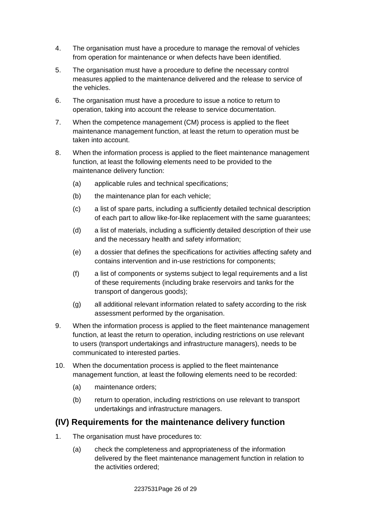- 4. The organisation must have a procedure to manage the removal of vehicles from operation for maintenance or when defects have been identified.
- 5. The organisation must have a procedure to define the necessary control measures applied to the maintenance delivered and the release to service of the vehicles.
- 6. The organisation must have a procedure to issue a notice to return to operation, taking into account the release to service documentation.
- 7. When the competence management (CM) process is applied to the fleet maintenance management function, at least the return to operation must be taken into account.
- 8. When the information process is applied to the fleet maintenance management function, at least the following elements need to be provided to the maintenance delivery function:
	- (a) applicable rules and technical specifications;
	- (b) the maintenance plan for each vehicle;
	- (c) a list of spare parts, including a sufficiently detailed technical description of each part to allow like-for-like replacement with the same guarantees;
	- (d) a list of materials, including a sufficiently detailed description of their use and the necessary health and safety information;
	- (e) a dossier that defines the specifications for activities affecting safety and contains intervention and in-use restrictions for components;
	- (f) a list of components or systems subject to legal requirements and a list of these requirements (including brake reservoirs and tanks for the transport of dangerous goods);
	- (g) all additional relevant information related to safety according to the risk assessment performed by the organisation.
- 9. When the information process is applied to the fleet maintenance management function, at least the return to operation, including restrictions on use relevant to users (transport undertakings and infrastructure managers), needs to be communicated to interested parties.
- 10. When the documentation process is applied to the fleet maintenance management function, at least the following elements need to be recorded:
	- (a) maintenance orders;
	- (b) return to operation, including restrictions on use relevant to transport undertakings and infrastructure managers.

## **(IV) Requirements for the maintenance delivery function**

- 1. The organisation must have procedures to:
	- (a) check the completeness and appropriateness of the information delivered by the fleet maintenance management function in relation to the activities ordered;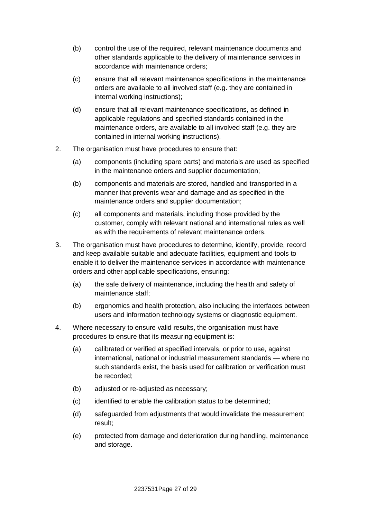- (b) control the use of the required, relevant maintenance documents and other standards applicable to the delivery of maintenance services in accordance with maintenance orders;
- (c) ensure that all relevant maintenance specifications in the maintenance orders are available to all involved staff (e.g. they are contained in internal working instructions);
- (d) ensure that all relevant maintenance specifications, as defined in applicable regulations and specified standards contained in the maintenance orders, are available to all involved staff (e.g. they are contained in internal working instructions).
- 2. The organisation must have procedures to ensure that:
	- (a) components (including spare parts) and materials are used as specified in the maintenance orders and supplier documentation;
	- (b) components and materials are stored, handled and transported in a manner that prevents wear and damage and as specified in the maintenance orders and supplier documentation;
	- (c) all components and materials, including those provided by the customer, comply with relevant national and international rules as well as with the requirements of relevant maintenance orders.
- 3. The organisation must have procedures to determine, identify, provide, record and keep available suitable and adequate facilities, equipment and tools to enable it to deliver the maintenance services in accordance with maintenance orders and other applicable specifications, ensuring:
	- (a) the safe delivery of maintenance, including the health and safety of maintenance staff;
	- (b) ergonomics and health protection, also including the interfaces between users and information technology systems or diagnostic equipment.
- 4. Where necessary to ensure valid results, the organisation must have procedures to ensure that its measuring equipment is:
	- (a) calibrated or verified at specified intervals, or prior to use, against international, national or industrial measurement standards — where no such standards exist, the basis used for calibration or verification must be recorded;
	- (b) adjusted or re-adjusted as necessary;
	- (c) identified to enable the calibration status to be determined;
	- (d) safeguarded from adjustments that would invalidate the measurement result;
	- (e) protected from damage and deterioration during handling, maintenance and storage.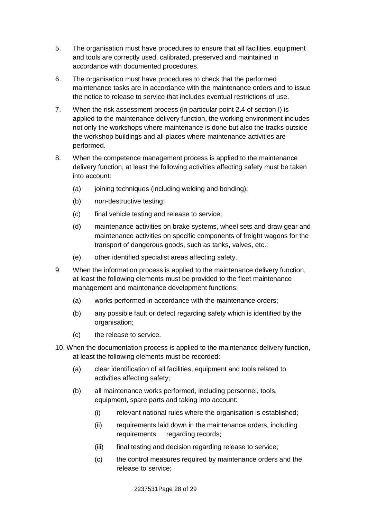- 5. The organisation must have procedures to ensure that all facilities, equipment and tools are correctly used, calibrated, preserved and maintained in accordance with documented procedures.
- 6. The organisation must have procedures to check that the performed maintenance tasks are in accordance with the maintenance orders and to issue the notice to release to service that includes eventual restrictions of use.
- 7. When the risk assessment process (in particular point 2.4 of section I) is applied to the maintenance delivery function, the working environment includes not only the workshops where maintenance is done but also the tracks outside the workshop buildings and all places where maintenance activities are performed.
- 8. When the competence management process is applied to the maintenance delivery function, at least the following activities affecting safety must be taken into account:
	- (a) joining techniques (including welding and bonding);
	- (b) non-destructive testing;
	- (c) final vehicle testing and release to service;
	- (d) maintenance activities on brake systems, wheel sets and draw gear and maintenance activities on specific components of freight wagons for the transport of dangerous goods, such as tanks, valves, etc.;
	- (e) other identified specialist areas affecting safety.
- 9. When the information process is applied to the maintenance delivery function, at least the following elements must be provided to the fleet maintenance management and maintenance development functions:
	- (a) works performed in accordance with the maintenance orders;
	- (b) any possible fault or defect regarding safety which is identified by the organisation;
	- (c) the release to service.
- 10. When the documentation process is applied to the maintenance delivery function, at least the following elements must be recorded:
	- (a) clear identification of all facilities, equipment and tools related to activities affecting safety;
	- (b) all maintenance works performed, including personnel, tools, equipment, spare parts and taking into account:
		- (i) relevant national rules where the organisation is established;
		- (ii) requirements laid down in the maintenance orders, including requirements regarding records;
		- (iii) final testing and decision regarding release to service;
		- (c) the control measures required by maintenance orders and the release to service;